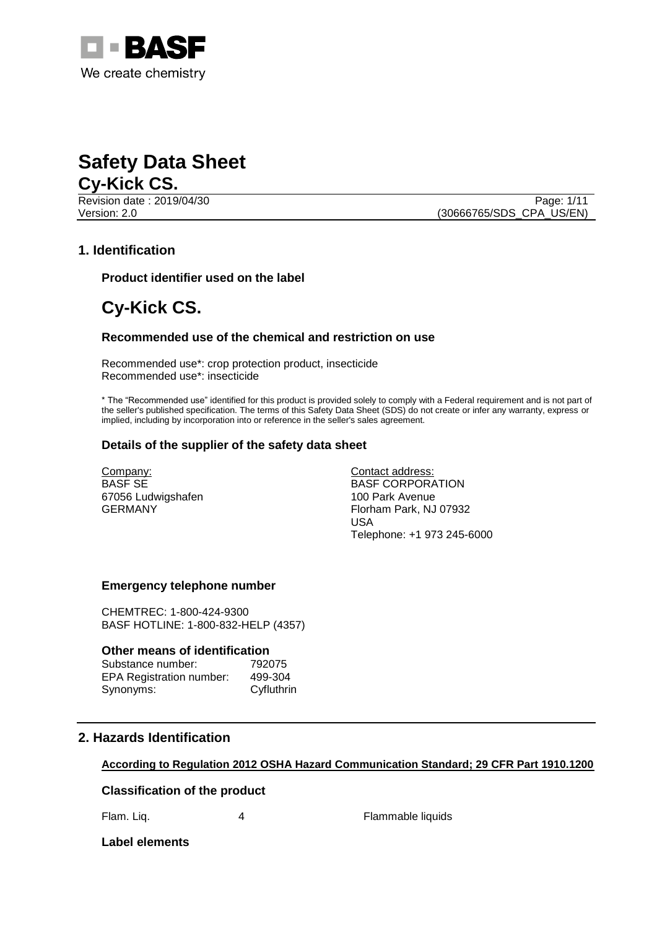



Revision date : 2019/04/30 Version: 2.0 (30666765/SDS\_CPA\_US/EN)

### **1. Identification**

**Product identifier used on the label**

# **Cy-Kick CS.**

#### **Recommended use of the chemical and restriction on use**

Recommended use\*: crop protection product, insecticide Recommended use\*: insecticide

\* The "Recommended use" identified for this product is provided solely to comply with a Federal requirement and is not part of the seller's published specification. The terms of this Safety Data Sheet (SDS) do not create or infer any warranty, express or implied, including by incorporation into or reference in the seller's sales agreement.

#### **Details of the supplier of the safety data sheet**

Company: BASF SE 67056 Ludwigshafen GERMANY

Contact address: BASF CORPORATION 100 Park Avenue Florham Park, NJ 07932 USA Telephone: +1 973 245-6000

#### **Emergency telephone number**

CHEMTREC: 1-800-424-9300 BASF HOTLINE: 1-800-832-HELP (4357)

#### **Other means of identification**

| Substance number:               | 792075     |
|---------------------------------|------------|
| <b>EPA Registration number:</b> | 499-304    |
| Synonyms:                       | Cyfluthrin |

### **2. Hazards Identification**

#### **According to Regulation 2012 OSHA Hazard Communication Standard; 29 CFR Part 1910.1200**

#### **Classification of the product**

Flam. Liq. **4** 4 Flammable liquids

#### **Label elements**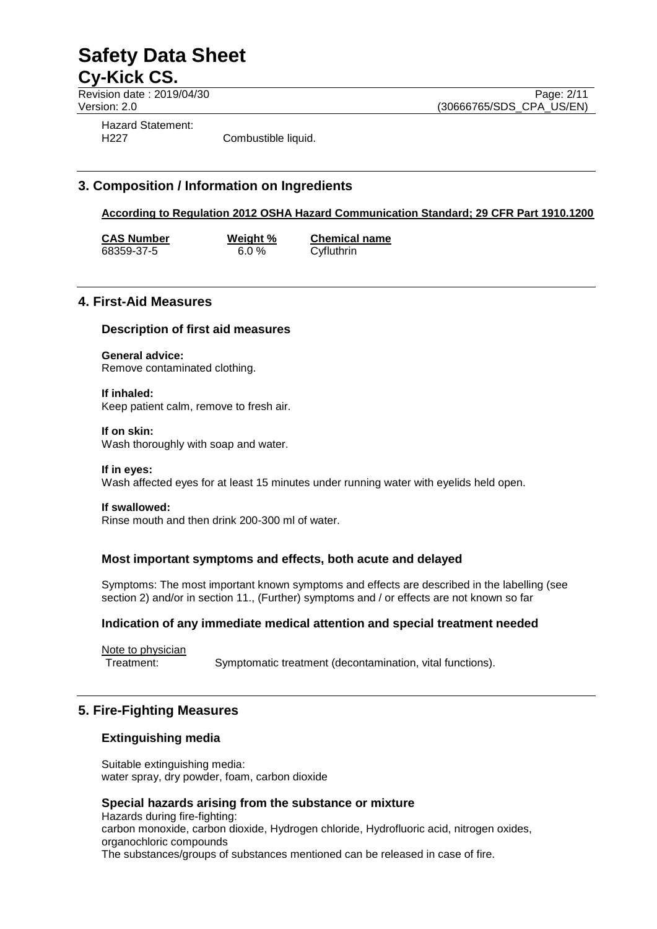Revision date : 2019/04/30<br>
Version: 2.0<br>
Version: 2.0 (30666765/SDS CPA US/EN)

(30666765/SDS\_CPA\_US/EN)

Hazard Statement:

H227 Combustible liquid.

# **3. Composition / Information on Ingredients**

# **According to Regulation 2012 OSHA Hazard Communication Standard; 29 CFR Part 1910.1200**

**CAS Number**<br>
68359-37-5<br>
6.0 %<br>
Cyfluthrin 68359-37-5

# **4. First-Aid Measures**

# **Description of first aid measures**

## **General advice:**

Remove contaminated clothing.

**If inhaled:** Keep patient calm, remove to fresh air.

#### **If on skin:**

Wash thoroughly with soap and water.

#### **If in eyes:**

Wash affected eyes for at least 15 minutes under running water with eyelids held open.

#### **If swallowed:**

Rinse mouth and then drink 200-300 ml of water.

### **Most important symptoms and effects, both acute and delayed**

Symptoms: The most important known symptoms and effects are described in the labelling (see section 2) and/or in section 11., (Further) symptoms and / or effects are not known so far

#### **Indication of any immediate medical attention and special treatment needed**

Note to physician

Treatment: Symptomatic treatment (decontamination, vital functions).

# **5. Fire-Fighting Measures**

### **Extinguishing media**

Suitable extinguishing media: water spray, dry powder, foam, carbon dioxide

#### **Special hazards arising from the substance or mixture**

Hazards during fire-fighting: carbon monoxide, carbon dioxide, Hydrogen chloride, Hydrofluoric acid, nitrogen oxides, organochloric compounds The substances/groups of substances mentioned can be released in case of fire.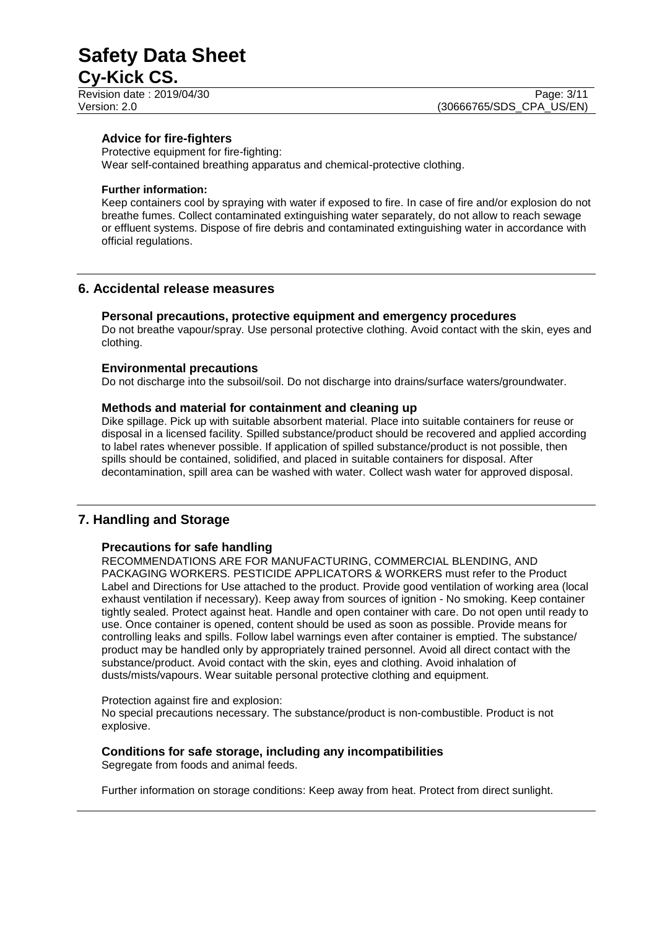# **Safety Data Sheet**

# **Cy-Kick CS.**

#### **Advice for fire-fighters**

Protective equipment for fire-fighting: Wear self-contained breathing apparatus and chemical-protective clothing.

#### **Further information:**

Keep containers cool by spraying with water if exposed to fire. In case of fire and/or explosion do not breathe fumes. Collect contaminated extinguishing water separately, do not allow to reach sewage or effluent systems. Dispose of fire debris and contaminated extinguishing water in accordance with official regulations.

### **6. Accidental release measures**

#### **Personal precautions, protective equipment and emergency procedures**

Do not breathe vapour/spray. Use personal protective clothing. Avoid contact with the skin, eyes and clothing.

#### **Environmental precautions**

Do not discharge into the subsoil/soil. Do not discharge into drains/surface waters/groundwater.

#### **Methods and material for containment and cleaning up**

Dike spillage. Pick up with suitable absorbent material. Place into suitable containers for reuse or disposal in a licensed facility. Spilled substance/product should be recovered and applied according to label rates whenever possible. If application of spilled substance/product is not possible, then spills should be contained, solidified, and placed in suitable containers for disposal. After decontamination, spill area can be washed with water. Collect wash water for approved disposal.

### **7. Handling and Storage**

#### **Precautions for safe handling**

RECOMMENDATIONS ARE FOR MANUFACTURING, COMMERCIAL BLENDING, AND PACKAGING WORKERS. PESTICIDE APPLICATORS & WORKERS must refer to the Product Label and Directions for Use attached to the product. Provide good ventilation of working area (local exhaust ventilation if necessary). Keep away from sources of ignition - No smoking. Keep container tightly sealed. Protect against heat. Handle and open container with care. Do not open until ready to use. Once container is opened, content should be used as soon as possible. Provide means for controlling leaks and spills. Follow label warnings even after container is emptied. The substance/ product may be handled only by appropriately trained personnel. Avoid all direct contact with the substance/product. Avoid contact with the skin, eyes and clothing. Avoid inhalation of dusts/mists/vapours. Wear suitable personal protective clothing and equipment.

#### Protection against fire and explosion:

No special precautions necessary. The substance/product is non-combustible. Product is not explosive.

#### **Conditions for safe storage, including any incompatibilities**

Segregate from foods and animal feeds.

Further information on storage conditions: Keep away from heat. Protect from direct sunlight.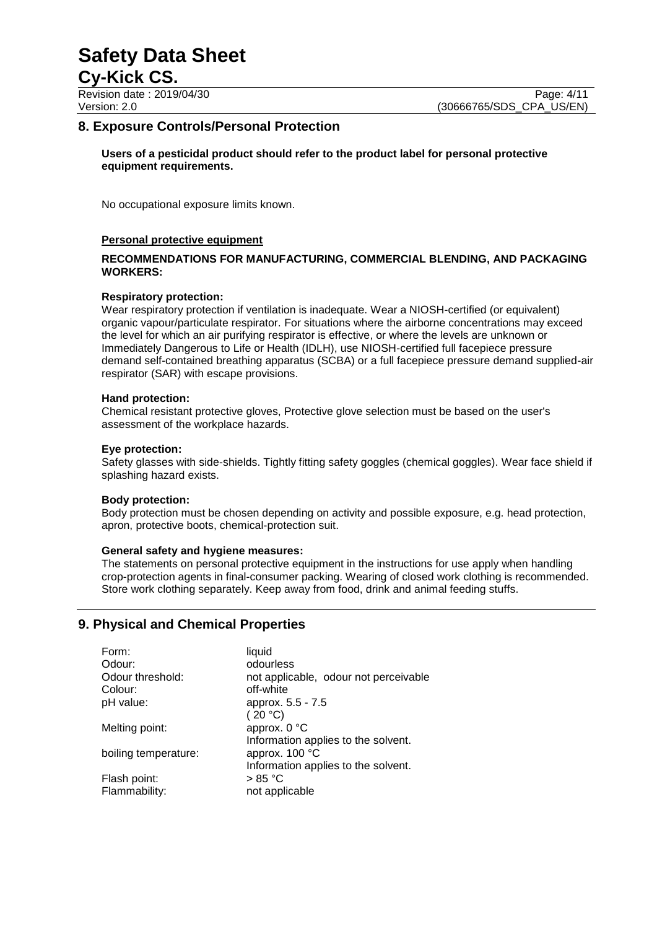Revision date : 2019/04/30 Page: 4/11<br>Version: 2.0 (30666765/SDS CPA US/EN) (30666765/SDS\_CPA\_US/EN)

### **8. Exposure Controls/Personal Protection**

**Users of a pesticidal product should refer to the product label for personal protective equipment requirements.**

No occupational exposure limits known.

#### **Personal protective equipment**

#### **RECOMMENDATIONS FOR MANUFACTURING, COMMERCIAL BLENDING, AND PACKAGING WORKERS:**

#### **Respiratory protection:**

Wear respiratory protection if ventilation is inadequate. Wear a NIOSH-certified (or equivalent) organic vapour/particulate respirator. For situations where the airborne concentrations may exceed the level for which an air purifying respirator is effective, or where the levels are unknown or Immediately Dangerous to Life or Health (IDLH), use NIOSH-certified full facepiece pressure demand self-contained breathing apparatus (SCBA) or a full facepiece pressure demand supplied-air respirator (SAR) with escape provisions.

#### **Hand protection:**

Chemical resistant protective gloves, Protective glove selection must be based on the user's assessment of the workplace hazards.

#### **Eye protection:**

Safety glasses with side-shields. Tightly fitting safety goggles (chemical goggles). Wear face shield if splashing hazard exists.

#### **Body protection:**

Body protection must be chosen depending on activity and possible exposure, e.g. head protection, apron, protective boots, chemical-protection suit.

#### **General safety and hygiene measures:**

The statements on personal protective equipment in the instructions for use apply when handling crop-protection agents in final-consumer packing. Wearing of closed work clothing is recommended. Store work clothing separately. Keep away from food, drink and animal feeding stuffs.

### **9. Physical and Chemical Properties**

| Form:                | liquid                                |
|----------------------|---------------------------------------|
| Odour:               | odourless                             |
| Odour threshold:     | not applicable, odour not perceivable |
| Colour:              | off-white                             |
| pH value:            | approx. 5.5 - 7.5                     |
|                      | (20 °C)                               |
| Melting point:       | approx. 0 °C                          |
|                      | Information applies to the solvent.   |
| boiling temperature: | approx. 100 °C                        |
|                      | Information applies to the solvent.   |
| Flash point:         | > 85 °C                               |
| Flammability:        | not applicable                        |
|                      |                                       |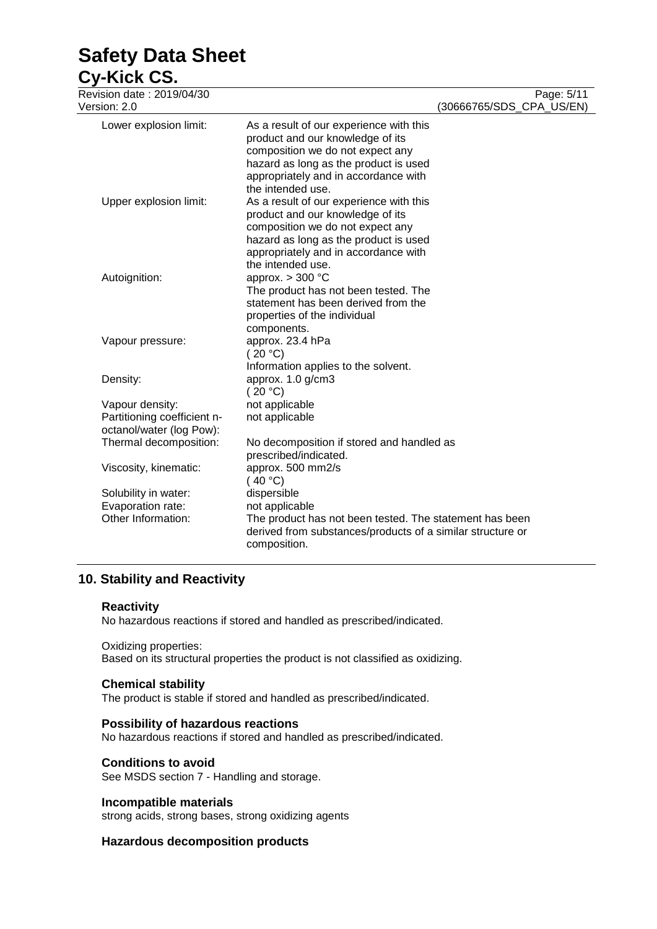# **Safety Data Sheet**

# **Cy-Kick CS.**

| Revision date: 2019/04/30   |                                                            | Page: 5/11               |
|-----------------------------|------------------------------------------------------------|--------------------------|
| Version: 2.0                |                                                            | (30666765/SDS_CPA_US/EN) |
| Lower explosion limit:      | As a result of our experience with this                    |                          |
|                             | product and our knowledge of its                           |                          |
|                             | composition we do not expect any                           |                          |
|                             | hazard as long as the product is used                      |                          |
|                             | appropriately and in accordance with                       |                          |
|                             | the intended use.                                          |                          |
| Upper explosion limit:      | As a result of our experience with this                    |                          |
|                             | product and our knowledge of its                           |                          |
|                             | composition we do not expect any                           |                          |
|                             | hazard as long as the product is used                      |                          |
|                             | appropriately and in accordance with                       |                          |
|                             | the intended use.                                          |                          |
| Autoignition:               | approx. $> 300$ °C<br>The product has not been tested. The |                          |
|                             | statement has been derived from the                        |                          |
|                             | properties of the individual                               |                          |
|                             | components.                                                |                          |
| Vapour pressure:            | approx. 23.4 hPa                                           |                          |
|                             | (20 °C)                                                    |                          |
|                             | Information applies to the solvent.                        |                          |
| Density:                    | approx. 1.0 g/cm3                                          |                          |
|                             | (20 °C)                                                    |                          |
| Vapour density:             | not applicable                                             |                          |
| Partitioning coefficient n- | not applicable                                             |                          |
| octanol/water (log Pow):    |                                                            |                          |
| Thermal decomposition:      | No decomposition if stored and handled as                  |                          |
|                             | prescribed/indicated.                                      |                          |
| Viscosity, kinematic:       | approx. 500 mm2/s                                          |                          |
|                             | (40 °C)                                                    |                          |
| Solubility in water:        | dispersible                                                |                          |
| Evaporation rate:           | not applicable                                             |                          |
| Other Information:          | The product has not been tested. The statement has been    |                          |
|                             | derived from substances/products of a similar structure or |                          |
|                             | composition.                                               |                          |
|                             |                                                            |                          |

# **10. Stability and Reactivity**

#### **Reactivity**

No hazardous reactions if stored and handled as prescribed/indicated.

#### Oxidizing properties:

Based on its structural properties the product is not classified as oxidizing.

#### **Chemical stability**

The product is stable if stored and handled as prescribed/indicated.

#### **Possibility of hazardous reactions**

No hazardous reactions if stored and handled as prescribed/indicated.

#### **Conditions to avoid**

See MSDS section 7 - Handling and storage.

#### **Incompatible materials**

strong acids, strong bases, strong oxidizing agents

#### **Hazardous decomposition products**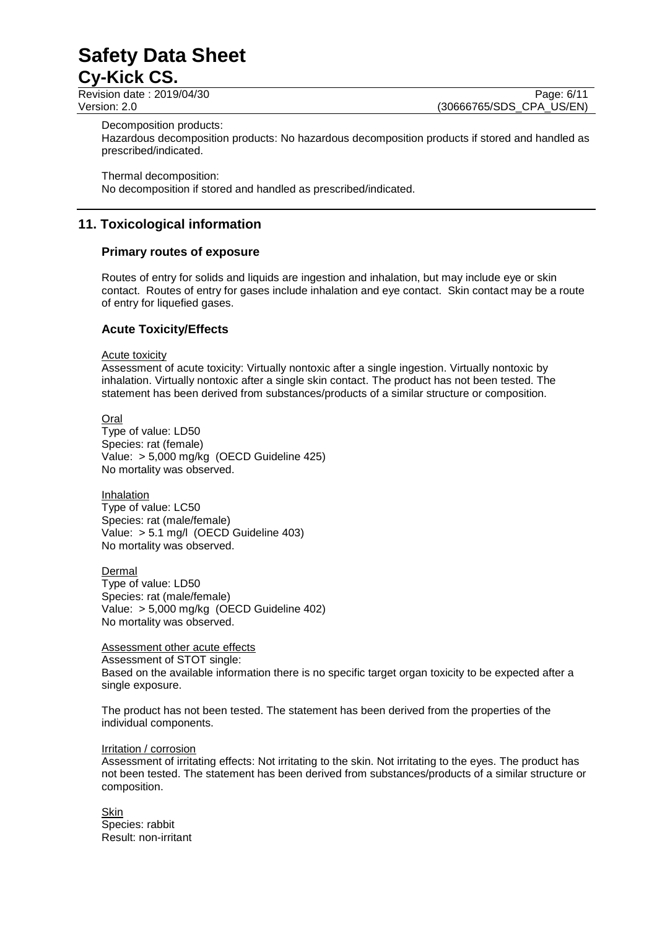Revision date : 2019/04/30 Page: 6/11<br>Version: 2.0 (30666765/SDS CPA US/EN) (30666765/SDS\_CPA\_US/EN)

Decomposition products:

Hazardous decomposition products: No hazardous decomposition products if stored and handled as prescribed/indicated.

Thermal decomposition:

No decomposition if stored and handled as prescribed/indicated.

## **11. Toxicological information**

#### **Primary routes of exposure**

Routes of entry for solids and liquids are ingestion and inhalation, but may include eye or skin contact. Routes of entry for gases include inhalation and eye contact. Skin contact may be a route of entry for liquefied gases.

#### **Acute Toxicity/Effects**

#### Acute toxicity

Assessment of acute toxicity: Virtually nontoxic after a single ingestion. Virtually nontoxic by inhalation. Virtually nontoxic after a single skin contact. The product has not been tested. The statement has been derived from substances/products of a similar structure or composition.

Oral

Type of value: LD50 Species: rat (female) Value: > 5,000 mg/kg (OECD Guideline 425) No mortality was observed.

Inhalation Type of value: LC50 Species: rat (male/female) Value: > 5.1 mg/l (OECD Guideline 403) No mortality was observed.

**Dermal** Type of value: LD50 Species: rat (male/female) Value: > 5,000 mg/kg (OECD Guideline 402)

No mortality was observed.

#### Assessment other acute effects

Assessment of STOT single: Based on the available information there is no specific target organ toxicity to be expected after a single exposure.

The product has not been tested. The statement has been derived from the properties of the individual components.

#### Irritation / corrosion

Assessment of irritating effects: Not irritating to the skin. Not irritating to the eyes. The product has not been tested. The statement has been derived from substances/products of a similar structure or composition.

**Skin** Species: rabbit Result: non-irritant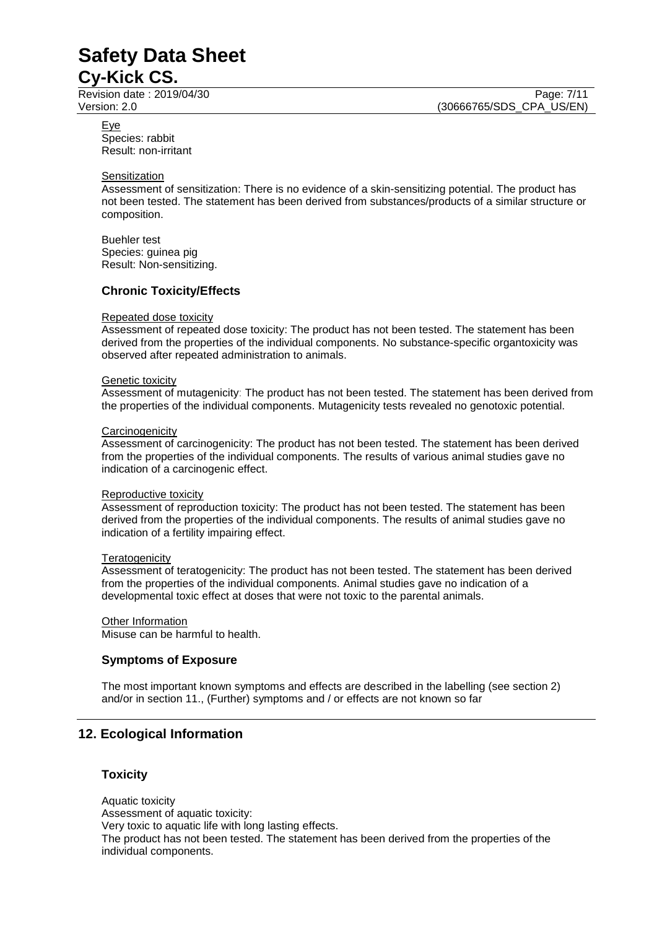Revision date : 2019/04/30 Page: 7/11<br>Version: 2.0 (30666765/SDS CPA US/EN) (30666765/SDS\_CPA\_US/EN)

Eye

Species: rabbit Result: non-irritant

#### **Sensitization**

Assessment of sensitization: There is no evidence of a skin-sensitizing potential. The product has not been tested. The statement has been derived from substances/products of a similar structure or composition.

Buehler test Species: guinea pig Result: Non-sensitizing.

#### **Chronic Toxicity/Effects**

#### Repeated dose toxicity

Assessment of repeated dose toxicity: The product has not been tested. The statement has been derived from the properties of the individual components. No substance-specific organtoxicity was observed after repeated administration to animals.

#### Genetic toxicity

Assessment of mutagenicity: The product has not been tested. The statement has been derived from the properties of the individual components. Mutagenicity tests revealed no genotoxic potential.

#### **Carcinogenicity**

Assessment of carcinogenicity: The product has not been tested. The statement has been derived from the properties of the individual components. The results of various animal studies gave no indication of a carcinogenic effect.

#### Reproductive toxicity

Assessment of reproduction toxicity: The product has not been tested. The statement has been derived from the properties of the individual components. The results of animal studies gave no indication of a fertility impairing effect.

#### **Teratogenicity**

Assessment of teratogenicity: The product has not been tested. The statement has been derived from the properties of the individual components. Animal studies gave no indication of a developmental toxic effect at doses that were not toxic to the parental animals.

# **Other Information**

Misuse can be harmful to health.

#### **Symptoms of Exposure**

The most important known symptoms and effects are described in the labelling (see section 2) and/or in section 11., (Further) symptoms and / or effects are not known so far

### **12. Ecological Information**

#### **Toxicity**

Aquatic toxicity Assessment of aquatic toxicity: Very toxic to aquatic life with long lasting effects. The product has not been tested. The statement has been derived from the properties of the individual components.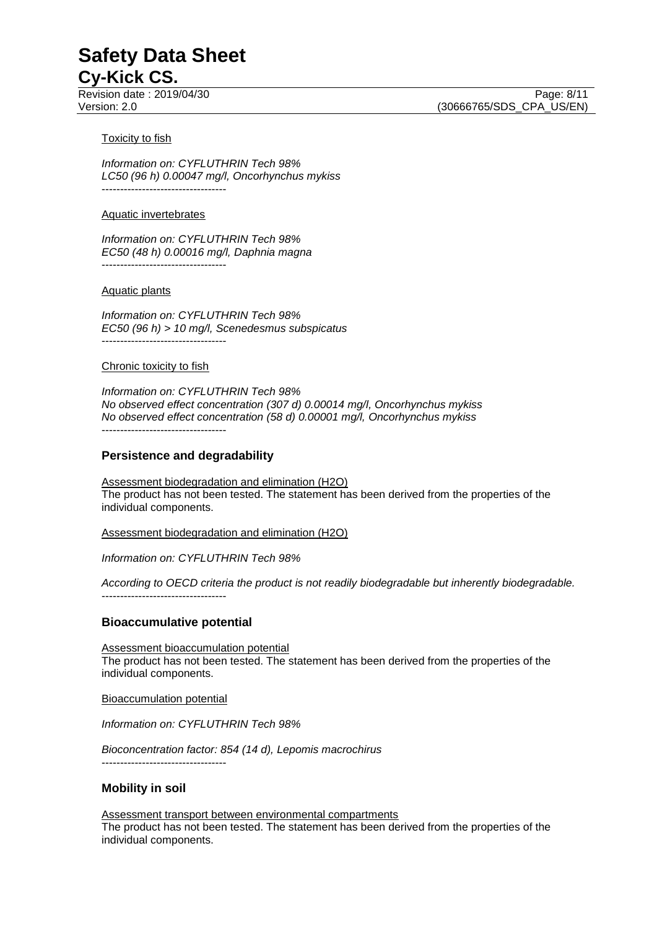#### **Toxicity to fish**

*Information on: CYFLUTHRIN Tech 98% LC50 (96 h) 0.00047 mg/l, Oncorhynchus mykiss* ----------------------------------

#### Aquatic invertebrates

----------------------------------

*Information on: CYFLUTHRIN Tech 98% EC50 (48 h) 0.00016 mg/l, Daphnia magna*

#### Aquatic plants

*Information on: CYFLUTHRIN Tech 98% EC50 (96 h) > 10 mg/l, Scenedesmus subspicatus* ----------------------------------

#### Chronic toxicity to fish

*Information on: CYFLUTHRIN Tech 98% No observed effect concentration (307 d) 0.00014 mg/l, Oncorhynchus mykiss No observed effect concentration (58 d) 0.00001 mg/l, Oncorhynchus mykiss* ----------------------------------

#### **Persistence and degradability**

Assessment biodegradation and elimination (H2O) The product has not been tested. The statement has been derived from the properties of the individual components.

Assessment biodegradation and elimination (H2O)

*Information on: CYFLUTHRIN Tech 98%*

*According to OECD criteria the product is not readily biodegradable but inherently biodegradable.* ----------------------------------

#### **Bioaccumulative potential**

Assessment bioaccumulation potential The product has not been tested. The statement has been derived from the properties of the individual components.

Bioaccumulation potential

*Information on: CYFLUTHRIN Tech 98%*

*Bioconcentration factor: 854 (14 d), Lepomis macrochirus* ----------------------------------

#### **Mobility in soil**

Assessment transport between environmental compartments The product has not been tested. The statement has been derived from the properties of the individual components.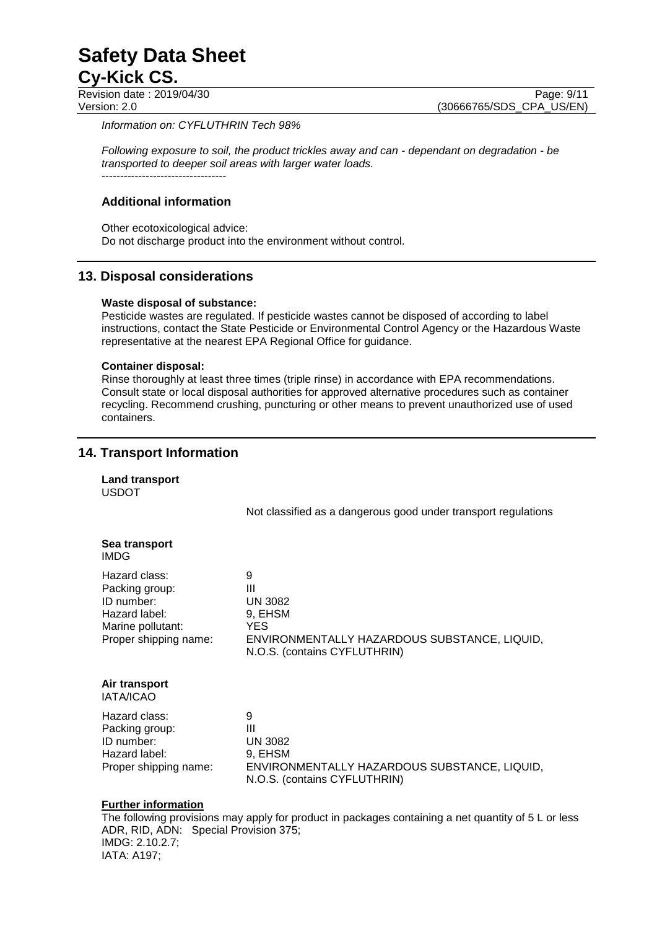Revision date : 2019/04/30 Page: 9/11<br>Version: 2.0 (30666765/SDS\_CPA\_US/EN)

(30666765/SDS\_CPA\_US/EN)

*Information on: CYFLUTHRIN Tech 98%*

*Following exposure to soil, the product trickles away and can - dependant on degradation - be transported to deeper soil areas with larger water loads.* ----------------------------------

#### **Additional information**

Other ecotoxicological advice: Do not discharge product into the environment without control.

### **13. Disposal considerations**

#### **Waste disposal of substance:**

Pesticide wastes are regulated. If pesticide wastes cannot be disposed of according to label instructions, contact the State Pesticide or Environmental Control Agency or the Hazardous Waste representative at the nearest EPA Regional Office for guidance.

#### **Container disposal:**

Rinse thoroughly at least three times (triple rinse) in accordance with EPA recommendations. Consult state or local disposal authorities for approved alternative procedures such as container recycling. Recommend crushing, puncturing or other means to prevent unauthorized use of used containers.

### **14. Transport Information**

**Land transport** USDOT

Not classified as a dangerous good under transport regulations

| Sea transport<br>IMDG.                                                                                       |                                                                                                                      |
|--------------------------------------------------------------------------------------------------------------|----------------------------------------------------------------------------------------------------------------------|
| Hazard class:<br>Packing group:<br>ID number:<br>Hazard label:<br>Marine pollutant:<br>Proper shipping name: | 9<br>Ш<br>UN 3082<br>9, EHSM<br>YES.<br>ENVIRONMENTALLY HAZARDOUS SUBSTANCE, LIQUID,<br>N.O.S. (contains CYFLUTHRIN) |
| Air transport<br><b>IATA/ICAO</b>                                                                            |                                                                                                                      |
| Hazard class:<br>Packing group:<br>ID number:<br>Hazard label:<br>Proper shipping name:                      | 9<br>Ш<br>UN 3082<br>9, EHSM<br>ENVIRONMENTALLY HAZARDOUS SUBSTANCE, LIQUID,<br>N.O.S. (contains CYFLUTHRIN)         |
| <b>Further information</b>                                                                                   |                                                                                                                      |

The following provisions may apply for product in packages containing a net quantity of 5 L or less ADR, RID, ADN: Special Provision 375; IMDG: 2.10.2.7; IATA: A197;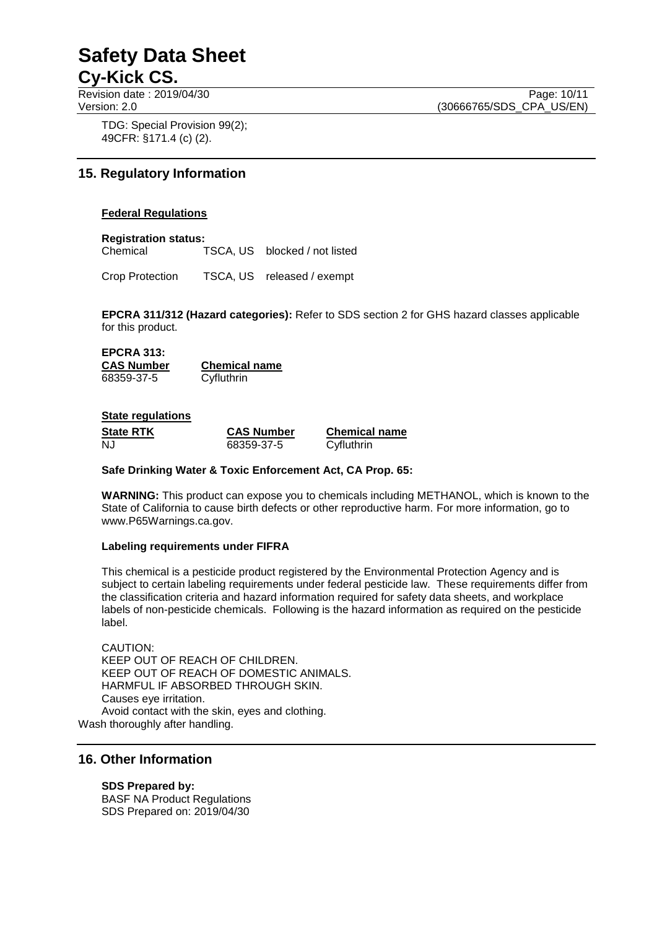Revision date : 2019/04/30 Page: 10/11<br>Version: 2.0 (30666765/SDS CPA US/EN)

(30666765/SDS\_CPA\_US/EN)

TDG: Special Provision 99(2); 49CFR: §171.4 (c) (2).

# **15. Regulatory Information**

#### **Federal Regulations**

**Registration status:**

TSCA, US blocked / not listed

Crop Protection TSCA, US released / exempt

**EPCRA 311/312 (Hazard categories):** Refer to SDS section 2 for GHS hazard classes applicable for this product.

#### **EPCRA 313: CAS Number Chemical name** 68359-37-5 Cyfluthrin

#### **State regulations**

| <b>State RTK</b> | <b>CAS Number</b> | <b>Chemical name</b> |
|------------------|-------------------|----------------------|
| NJ               | 68359-37-5        | Cyfluthrin           |

#### **Safe Drinking Water & Toxic Enforcement Act, CA Prop. 65:**

**WARNING:** This product can expose you to chemicals including METHANOL, which is known to the State of California to cause birth defects or other reproductive harm. For more information, go to www.P65Warnings.ca.gov.

#### **Labeling requirements under FIFRA**

This chemical is a pesticide product registered by the Environmental Protection Agency and is subject to certain labeling requirements under federal pesticide law. These requirements differ from the classification criteria and hazard information required for safety data sheets, and workplace labels of non-pesticide chemicals. Following is the hazard information as required on the pesticide label.

CAUTION: KEEP OUT OF REACH OF CHILDREN. KEEP OUT OF REACH OF DOMESTIC ANIMALS. HARMFUL IF ABSORBED THROUGH SKIN. Causes eye irritation. Avoid contact with the skin, eyes and clothing. Wash thoroughly after handling.

#### **16. Other Information**

**SDS Prepared by:**  BASF NA Product Regulations SDS Prepared on: 2019/04/30